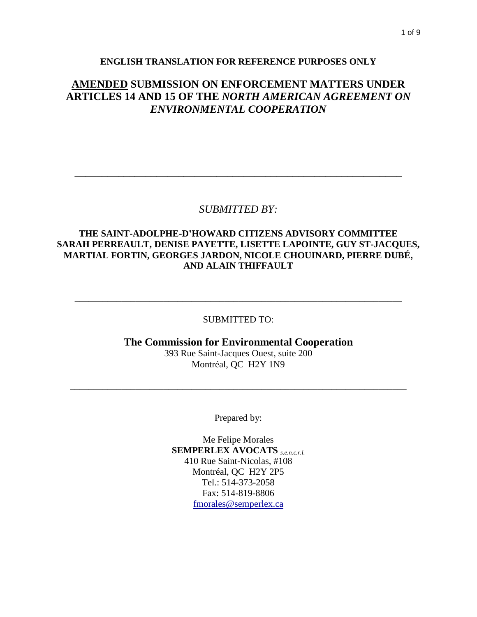# **AMENDED SUBMISSION ON ENFORCEMENT MATTERS UNDER ARTICLES 14 AND 15 OF THE** *NORTH AMERICAN AGREEMENT ON ENVIRONMENTAL COOPERATION*

# *SUBMITTED BY:*

\_\_\_\_\_\_\_\_\_\_\_\_\_\_\_\_\_\_\_\_\_\_\_\_\_\_\_\_\_\_\_\_\_\_\_\_\_\_\_\_\_\_\_\_\_\_\_\_\_\_\_\_\_\_\_\_\_\_\_\_

## **THE SAINT-ADOLPHE-D'HOWARD CITIZENS ADVISORY COMMITTEE SARAH PERREAULT, DENISE PAYETTE, LISETTE LAPOINTE, GUY ST-JACQUES, MARTIAL FORTIN, GEORGES JARDON, NICOLE CHOUINARD, PIERRE DUBÉ, AND ALAIN THIFFAULT**

## SUBMITTED TO:

\_\_\_\_\_\_\_\_\_\_\_\_\_\_\_\_\_\_\_\_\_\_\_\_\_\_\_\_\_\_\_\_\_\_\_\_\_\_\_\_\_\_\_\_\_\_\_\_\_\_\_\_\_\_\_\_\_\_\_\_\_\_\_\_\_\_\_\_\_\_

# **The Commission for Environmental Cooperation** 393 Rue Saint-Jacques Ouest, suite 200 Montréal, QC H2Y 1N9

Prepared by:

\_\_\_\_\_\_\_\_\_\_\_\_\_\_\_\_\_\_\_\_\_\_\_\_\_\_\_\_\_\_\_\_\_\_\_\_\_\_\_\_\_\_\_\_\_\_\_\_\_\_\_\_\_\_\_\_\_\_\_\_\_\_\_\_\_\_\_\_\_\_\_\_

Me Felipe Morales **SEMPERLEX AVOCATS** *s.e.n.c.r.l.* 410 Rue Saint-Nicolas, #108 Montréal, QC H2Y 2P5 Tel.: 514-373-2058 Fax: 514-819-8806 [fmorales@semperlex.ca](mailto:fmorales@semperlex.ca)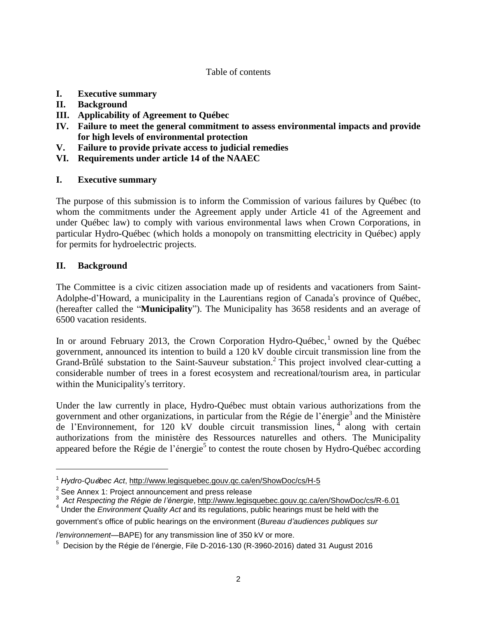#### Table of contents

- **I. Executive summary**
- **II. Background**
- **III. Applicability of Agreement to Québec**
- **IV. Failure to meet the general commitment to assess environmental impacts and provide for high levels of environmental protection**
- **V. Failure to provide private access to judicial remedies**
- **VI. Requirements under article 14 of the NAAEC**

## **I. Executive summary**

The purpose of this submission is to inform the Commission of various failures by Québec (to whom the commitments under the Agreement apply under Article 41 of the Agreement and under Québec law) to comply with various environmental laws when Crown Corporations, in particular Hydro-Québec (which holds a monopoly on transmitting electricity in Québec) apply for permits for hydroelectric projects.

### **II. Background**

 $\overline{a}$ 

The Committee is a civic citizen association made up of residents and vacationers from Saint-Adolphe-d'Howard, a municipality in the Laurentians region of Canada's province of Québec, (hereafter called the "**Municipality**"). The Municipality has 3658 residents and an average of 6500 vacation residents.

In or around February 2013, the Crown Corporation Hydro-Québec,<sup>1</sup> owned by the Québec government, announced its intention to build a 120 kV double circuit transmission line from the Grand-Brûlé substation to the Saint-Sauveur substation.<sup>2</sup> This project involved clear-cutting a considerable number of trees in a forest ecosystem and recreational/tourism area, in particular within the Municipality's territory.

Under the law currently in place, Hydro-Québec must obtain various authorizations from the government and other organizations, in particular from the Régie de l'énergie<sup>3</sup> and the Ministère de l'Environnement, for 120 kV double circuit transmission lines,  $\frac{4}{1}$  along with certain authorizations from the ministère des Ressources naturelles and others. The Municipality appeared before the Régie de l'énergie<sup>5</sup> to contest the route chosen by Hydro-Québec according

*l'environnement*—BAPE) for any transmission line of 350 kV or more.

<sup>1</sup> *Hydro-Qu*é*bec Act*, <http://www.legisquebec.gouv.qc.ca/en/ShowDoc/cs/H-5>

 $2$  See Annex 1: Project announcement and press release

<sup>3</sup> *Act Respecting the Régie de l'énergie*, <http://www.legisquebec.gouv.qc.ca/en/ShowDoc/cs/R-6.01>

<sup>4</sup> Under the *Environment Quality Act* and its regulations, public hearings must be held with the government's office of public hearings on the environment (*Bureau d'audiences publiques sur*

<sup>&</sup>lt;sup>5</sup> Decision by the Régie de l'énergie, File D-2016-130 (R-3960-2016) dated 31 August 2016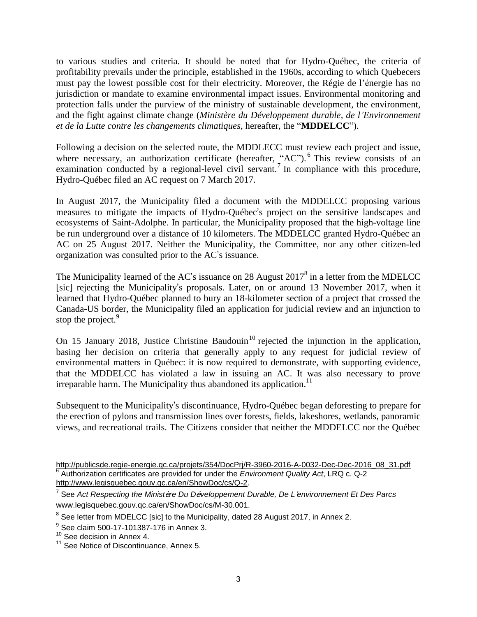to various studies and criteria. It should be noted that for Hydro-Québec, the criteria of profitability prevails under the principle, established in the 1960s, according to which Quebecers must pay the lowest possible cost for their electricity. Moreover, the Régie de l'énergie has no jurisdiction or mandate to examine environmental impact issues. Environmental monitoring and protection falls under the purview of the ministry of sustainable development, the environment, and the fight against climate change (*Ministère du Développement durable, de l'Environnement et de la Lutte contre les changements climatiques*, hereafter, the "**MDDELCC**").

Following a decision on the selected route, the MDDLECC must review each project and issue, where necessary, an authorization certificate (hereafter, "AC").<sup>6</sup> This review consists of an examination conducted by a regional-level civil servant.<sup>7</sup> In compliance with this procedure, Hydro-Québec filed an AC request on 7 March 2017.

In August 2017, the Municipality filed a document with the MDDELCC proposing various measures to mitigate the impacts of Hydro-Québec's project on the sensitive landscapes and ecosystems of Saint-Adolphe. In particular, the Municipality proposed that the high-voltage line be run underground over a distance of 10 kilometers. The MDDELCC granted Hydro-Québec an AC on 25 August 2017. Neither the Municipality, the Committee, nor any other citizen-led organization was consulted prior to the AC's issuance.

The Municipality learned of the AC's issuance on 28 August 2017<sup>8</sup> in a letter from the MDELCC [sic] rejecting the Municipality's proposals. Later, on or around 13 November 2017, when it learned that Hydro-Québec planned to bury an 18-kilometer section of a project that crossed the Canada-US border, the Municipality filed an application for judicial review and an injunction to stop the project.<sup>9</sup>

On 15 January 2018, Justice Christine Baudouin<sup>10</sup> rejected the injunction in the application, basing her decision on criteria that generally apply to any request for judicial review of environmental matters in Québec: it is now required to demonstrate, with supporting evidence, that the MDDELCC has violated a law in issuing an AC. It was also necessary to prove irreparable harm. The Municipality thus abandoned its application.<sup>11</sup>

Subsequent to the Municipality's discontinuance, Hydro-Québec began deforesting to prepare for the erection of pylons and transmission lines over forests, fields, lakeshores, wetlands, panoramic views, and recreational trails. The Citizens consider that neither the MDDELCC nor the Québec

 $\overline{a}$ [http://publicsde.regie-energie.qc.ca/projets/354/DocPrj/R-3960-2016-A-0032-Dec-Dec-2016\\_08\\_31.pdf](http://publicsde.regie-energie.qc.ca/projets/354/DocPrj/R-3960-2016-A-0032-Dec-Dec-2016_08_31.pdf) 6 Authorization certificates are provided for under the *Environment Quality Act*, LRQ c. Q-2 [http://www.legisquebec.gouv.qc.ca/en/ShowDoc/cs/Q-2.](http://www.legisquebec.gouv.qc.ca/en/ShowDoc/cs/Q-2)

<sup>7</sup> See *Act Respecting the Minist*è*re Du D*é*veloppement Durable, De L*'*environnement Et Des Parcs* [www.legisquebec.gouv.qc.ca/en/ShowDoc/cs/M-30.001.](http://www.legisquebec.gouv.qc.ca/en/ShowDoc/cs/M-30.001)

 $8$  See letter from MDELCC [sic] to the Municipality, dated 28 August 2017, in Annex 2.

 $\frac{9}{8}$  See claim 500-17-101387-176 in Annex 3.

<sup>&</sup>lt;sup>10</sup> See decision in Annex 4.

<sup>&</sup>lt;sup>11</sup> See Notice of Discontinuance, Annex 5.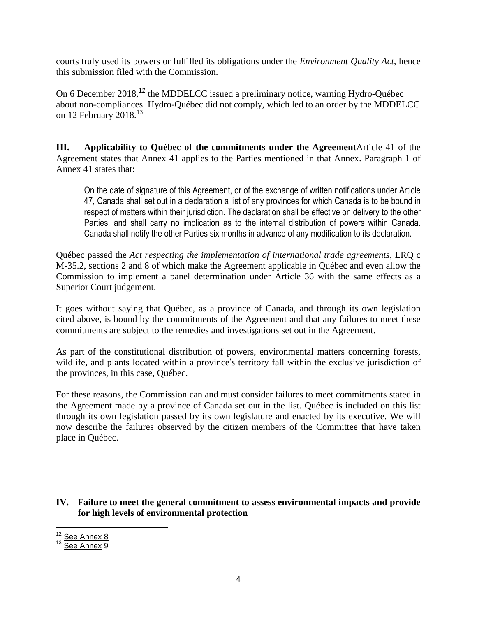courts truly used its powers or fulfilled its obligations under the *Environment Quality Act,* hence this submission filed with the Commission.

On 6 December 2018,<sup>12</sup> the MDDELCC issued a preliminary notice, warning Hydro-Québec about non-compliances. Hydro-Québec did not comply, which led to an order by the MDDELCC on 12 February 2018.<sup>13</sup>

**III. Applicability to Québec of the commitments under the Agreement**Article 41 of the Agreement states that Annex 41 applies to the Parties mentioned in that Annex. Paragraph 1 of Annex 41 states that:

On the date of signature of this Agreement, or of the exchange of written notifications under Article 47, Canada shall set out in a declaration a list of any provinces for which Canada is to be bound in respect of matters within their jurisdiction. The declaration shall be effective on delivery to the other Parties, and shall carry no implication as to the internal distribution of powers within Canada. Canada shall notify the other Parties six months in advance of any modification to its declaration.

Québec passed the *Act respecting the implementation of international trade agreements*, LRQ c M-35.2, sections 2 and 8 of which make the Agreement applicable in Québec and even allow the Commission to implement a panel determination under Article 36 with the same effects as a Superior Court judgement.

It goes without saying that Québec, as a province of Canada, and through its own legislation cited above, is bound by the commitments of the Agreement and that any failures to meet these commitments are subject to the remedies and investigations set out in the Agreement.

As part of the constitutional distribution of powers, environmental matters concerning forests, wildlife, and plants located within a province's territory fall within the exclusive jurisdiction of the provinces, in this case, Québec.

For these reasons, the Commission can and must consider failures to meet commitments stated in the Agreement made by a province of Canada set out in the list. Québec is included on this list through its own legislation passed by its own legislature and enacted by its executive. We will now describe the failures observed by the citizen members of the Committee that have taken place in Québec.

### **IV. Failure to meet the general commitment to assess environmental impacts and provide for high levels of environmental protection**

 $\overline{a}$ <sup>12</sup> See Annex 8

<sup>&</sup>lt;sup>13</sup> See Annex 9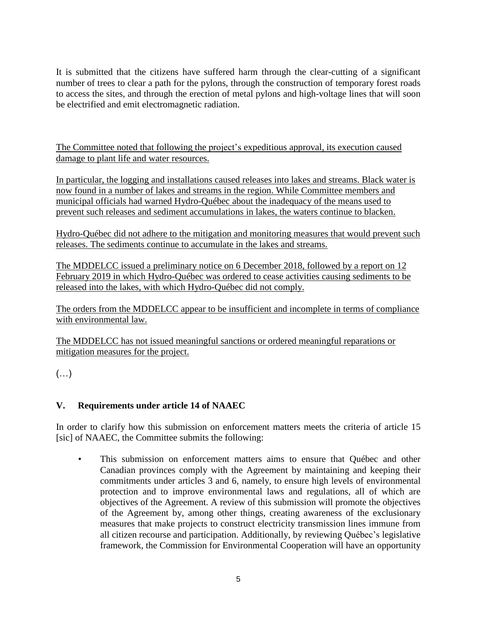It is submitted that the citizens have suffered harm through the clear-cutting of a significant number of trees to clear a path for the pylons, through the construction of temporary forest roads to access the sites, and through the erection of metal pylons and high-voltage lines that will soon be electrified and emit electromagnetic radiation.

The Committee noted that following the project's expeditious approval, its execution caused damage to plant life and water resources.

In particular, the logging and installations caused releases into lakes and streams. Black water is now found in a number of lakes and streams in the region. While Committee members and municipal officials had warned Hydro-Québec about the inadequacy of the means used to prevent such releases and sediment accumulations in lakes, the waters continue to blacken.

Hydro-Québec did not adhere to the mitigation and monitoring measures that would prevent such releases. The sediments continue to accumulate in the lakes and streams.

The MDDELCC issued a preliminary notice on 6 December 2018, followed by a report on 12 February 2019 in which Hydro-Québec was ordered to cease activities causing sediments to be released into the lakes, with which Hydro-Québec did not comply.

The orders from the MDDELCC appear to be insufficient and incomplete in terms of compliance with environmental law.

The MDDELCC has not issued meaningful sanctions or ordered meaningful reparations or mitigation measures for the project.

 $(\ldots)$ 

# **V. Requirements under article 14 of NAAEC**

In order to clarify how this submission on enforcement matters meets the criteria of article 15 [sic] of NAAEC, the Committee submits the following:

• This submission on enforcement matters aims to ensure that Québec and other Canadian provinces comply with the Agreement by maintaining and keeping their commitments under articles 3 and 6, namely, to ensure high levels of environmental protection and to improve environmental laws and regulations, all of which are objectives of the Agreement. A review of this submission will promote the objectives of the Agreement by, among other things, creating awareness of the exclusionary measures that make projects to construct electricity transmission lines immune from all citizen recourse and participation. Additionally, by reviewing Québec's legislative framework, the Commission for Environmental Cooperation will have an opportunity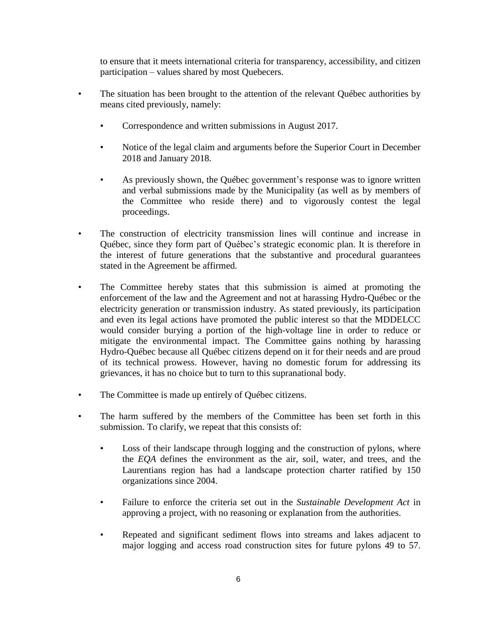to ensure that it meets international criteria for transparency, accessibility, and citizen participation – values shared by most Quebecers.

- The situation has been brought to the attention of the relevant Québec authorities by means cited previously, namely:
	- Correspondence and written submissions in August 2017.
	- Notice of the legal claim and arguments before the Superior Court in December 2018 and January 2018.
	- As previously shown, the Québec government's response was to ignore written and verbal submissions made by the Municipality (as well as by members of the Committee who reside there) and to vigorously contest the legal proceedings.
- The construction of electricity transmission lines will continue and increase in Québec, since they form part of Québec's strategic economic plan. It is therefore in the interest of future generations that the substantive and procedural guarantees stated in the Agreement be affirmed.
- The Committee hereby states that this submission is aimed at promoting the enforcement of the law and the Agreement and not at harassing Hydro-Québec or the electricity generation or transmission industry. As stated previously, its participation and even its legal actions have promoted the public interest so that the MDDELCC would consider burying a portion of the high-voltage line in order to reduce or mitigate the environmental impact. The Committee gains nothing by harassing Hydro-Québec because all Québec citizens depend on it for their needs and are proud of its technical prowess. However, having no domestic forum for addressing its grievances, it has no choice but to turn to this supranational body.
- The Committee is made up entirely of Québec citizens.
- The harm suffered by the members of the Committee has been set forth in this submission. To clarify, we repeat that this consists of:
	- Loss of their landscape through logging and the construction of pylons, where the *EQA* defines the environment as the air, soil, water, and trees, and the Laurentians region has had a landscape protection charter ratified by 150 organizations since 2004.
	- Failure to enforce the criteria set out in the *Sustainable Development Act* in approving a project, with no reasoning or explanation from the authorities.
	- Repeated and significant sediment flows into streams and lakes adjacent to major logging and access road construction sites for future pylons 49 to 57.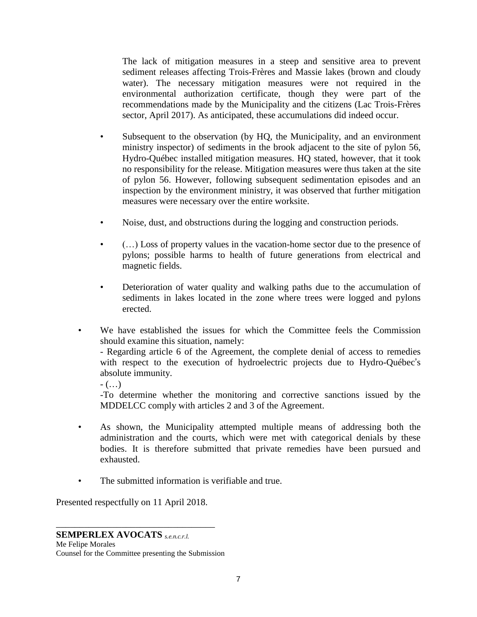The lack of mitigation measures in a steep and sensitive area to prevent sediment releases affecting Trois-Frères and Massie lakes (brown and cloudy water). The necessary mitigation measures were not required in the environmental authorization certificate, though they were part of the recommendations made by the Municipality and the citizens (Lac Trois-Frères sector, April 2017). As anticipated, these accumulations did indeed occur.

- Subsequent to the observation (by HQ, the Municipality, and an environment ministry inspector) of sediments in the brook adjacent to the site of pylon 56, Hydro-Québec installed mitigation measures. HQ stated, however, that it took no responsibility for the release. Mitigation measures were thus taken at the site of pylon 56. However, following subsequent sedimentation episodes and an inspection by the environment ministry, it was observed that further mitigation measures were necessary over the entire worksite.
- Noise, dust, and obstructions during the logging and construction periods.
- (…) Loss of property values in the vacation-home sector due to the presence of pylons; possible harms to health of future generations from electrical and magnetic fields.
- Deterioration of water quality and walking paths due to the accumulation of sediments in lakes located in the zone where trees were logged and pylons erected.
- We have established the issues for which the Committee feels the Commission should examine this situation, namely:

- Regarding article 6 of the Agreement, the complete denial of access to remedies with respect to the execution of hydroelectric projects due to Hydro-Québec's absolute immunity.

 $-$  (...)

-To determine whether the monitoring and corrective sanctions issued by the MDDELCC comply with articles 2 and 3 of the Agreement.

- As shown, the Municipality attempted multiple means of addressing both the administration and the courts, which were met with categorical denials by these bodies. It is therefore submitted that private remedies have been pursued and exhausted.
- The submitted information is verifiable and true.

Presented respectfully on 11 April 2018.

\_\_\_\_\_\_\_\_\_\_\_\_\_\_\_\_\_\_\_\_\_\_\_\_\_\_\_\_\_\_\_\_\_\_

### **SEMPERLEX AVOCATS** *s.e.n.c.r.l.*

Me Felipe Morales Counsel for the Committee presenting the Submission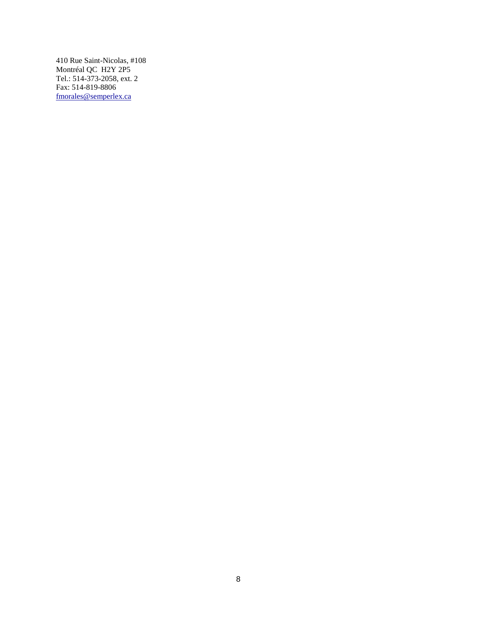410 Rue Saint-Nicolas, #108 Montréal QC H2Y 2P5 Tel.: 514-373-2058, ext. 2 Fax: 514-819-8806 [fmorales@semperlex.ca](mailto:fmorales@semperlex.ca)